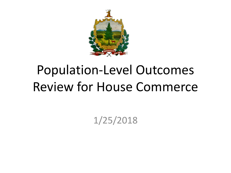

# Population-Level Outcomes Review for House Commerce

1/25/2018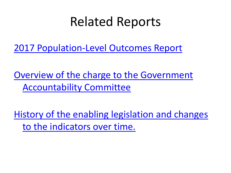### Related Reports

[2017 Population-Level Outcomes Report](http://spotlight.vermont.gov/sites/spotlight/files/Performance/Outcomes_Indicators_2017Report_FINAL.pdf)

[Overview of the charge to the Government](https://legislature.vermont.gov/assets/Documents/2018/WorkGroups/Government Accountability Committee/July 17/W~BetsyAnn Wrask~Introduction to Government Accountability~7-18-2017.pdf)  [Accountability Committee](https://legislature.vermont.gov/assets/Documents/2018/WorkGroups/Government Accountability Committee/July 17/W~BetsyAnn Wrask~Introduction to Government Accountability~7-18-2017.pdf)

[History of the enabling legislation and changes](https://legislature.vermont.gov/assets/Documents/2018/WorkGroups/Government Accountability Committee/December 11/W~BetsyAnn Wrask~GAC 2018 Report~11-27-2017.pdf)  [to the indicators over time.](https://legislature.vermont.gov/assets/Documents/2018/WorkGroups/Government Accountability Committee/December 11/W~BetsyAnn Wrask~GAC 2018 Report~11-27-2017.pdf)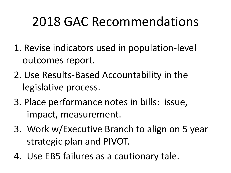# 2018 GAC Recommendations

- 1. Revise indicators used in population-level outcomes report.
- 2. Use Results-Based Accountability in the legislative process.
- 3. Place performance notes in bills: issue, impact, measurement.
- 3. Work w/Executive Branch to align on 5 year strategic plan and PIVOT.
- 4. Use EB5 failures as a cautionary tale.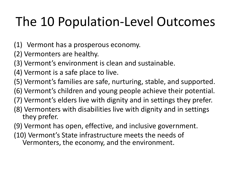# The 10 Population-Level Outcomes

- (1) Vermont has a prosperous economy.
- (2) Vermonters are healthy.
- (3) Vermont's environment is clean and sustainable.
- (4) Vermont is a safe place to live.
- (5) Vermont's families are safe, nurturing, stable, and supported.
- (6) Vermont's children and young people achieve their potential.
- (7) Vermont's elders live with dignity and in settings they prefer.
- (8) Vermonters with disabilities live with dignity and in settings they prefer.
- (9) Vermont has open, effective, and inclusive government.
- (10) Vermont's State infrastructure meets the needs of Vermonters, the economy, and the environment.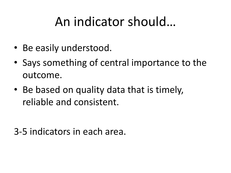# An indicator should…

- Be easily understood.
- Says something of central importance to the outcome.
- Be based on quality data that is timely, reliable and consistent.

3-5 indicators in each area.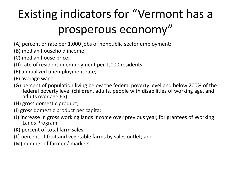# Existing indicators for "Vermont has a prosperous economy"

- (A) percent or rate per 1,000 jobs of nonpublic sector employment;
- (B) median household income;
- (C) median house price;
- (D) rate of resident unemployment per 1,000 residents;
- (E) annualized unemployment rate;
- (F) average wage;
- (G) percent of population living below the federal poverty level and below 200% of the federal poverty level (children, adults, people with disabilities of working age, and adults over age 65);
- (H) gross domestic product;
- (I) gross domestic product per capita;
- (J) increase in gross working lands income over previous year, for grantees of Working Lands Program;
- (K) percent of total farm sales;
- (L) percent of fruit and vegetable farms by sales outlet; and
- (M) number of farmers' markets.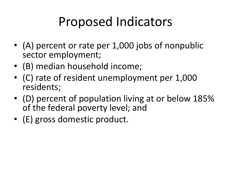# Proposed Indicators

- (A) percent or rate per 1,000 jobs of nonpublic sector employment;
- (B) median household income;
- (C) rate of resident unemployment per 1,000 residents;
- (D) percent of population living at or below 185% of the federal poverty level; and
- (E) gross domestic product.